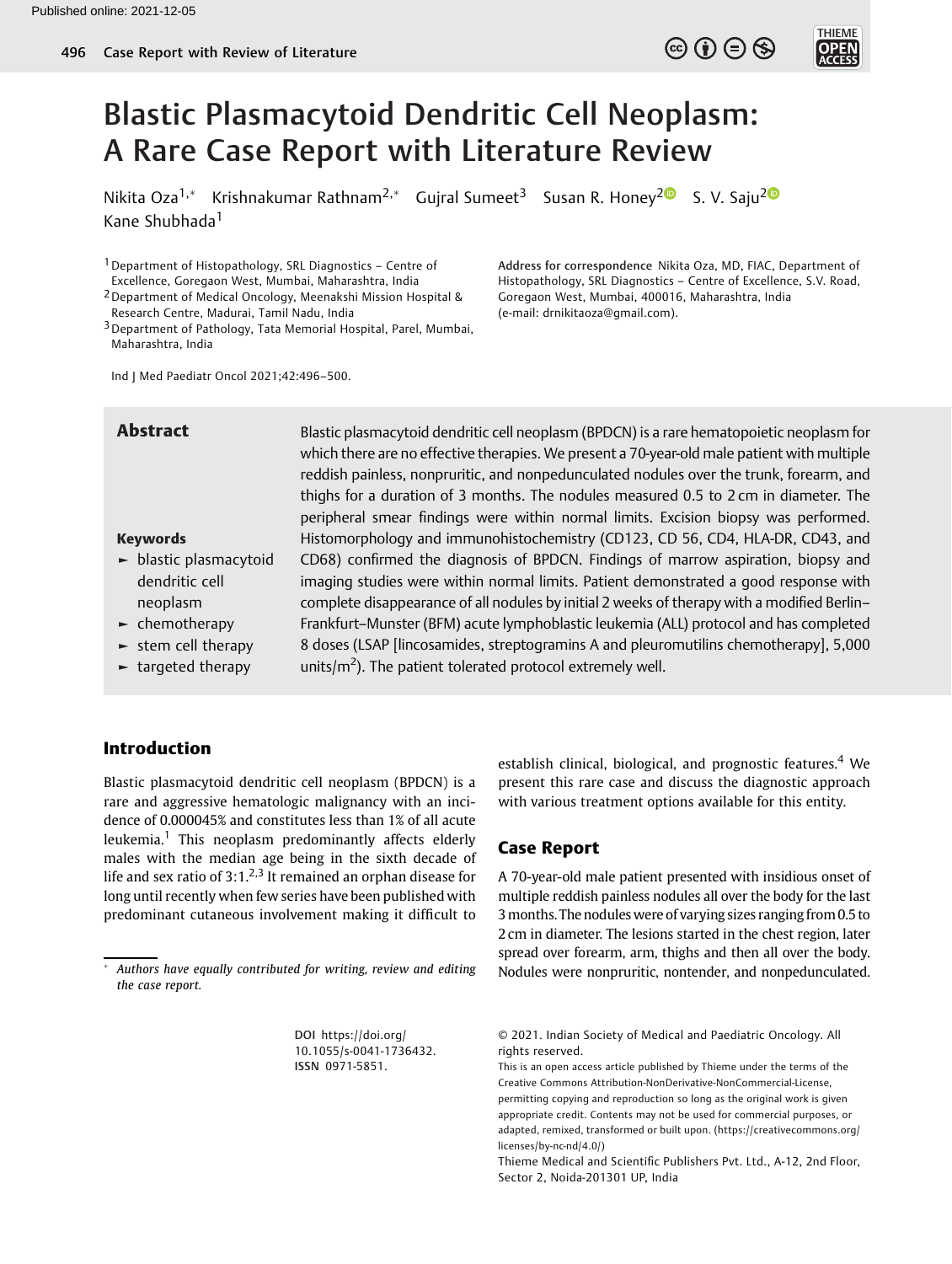

Nikita Oza<sup>1,\*</sup> Krishnakumar Rathnam<sup>[2](https://orcid.org/0000-0003-0268-7937),\*</sup> Gujral Sumeet<sup>3</sup> Susan R. Honey<sup>2</sup> S. V. Saju<sup>2</sup> Kane Shubhada<sup>1</sup>

1Department of Histopathology, SRL Diagnostics – Centre of Excellence, Goregaon West, Mumbai, Maharashtra, India

2Department of Medical Oncology, Meenakshi Mission Hospital & Research Centre, Madurai, Tamil Nadu, India

Histopathology, SRL Diagnostics – Centre of Excellence, S.V. Road, Goregaon West, Mumbai, 400016, Maharashtra, India (e-mail: [drnikitaoza@gmail.com](mailto:drnikitaoza@gmail.com)).

Address for correspondence Nikita Oza, MD, FIAC, Department of

 $\circledcirc$  (i)  $\ominus$   $\circledcirc$ 

**THIEME** 

Ind J Med Paediatr Oncol 2021;42:496–500.

#### Keywords

- ► blastic plasmacytoid dendritic cell neoplasm
- ► chemotherapy
- $\blacktriangleright$  stem cell therapy
- ► targeted therapy

Abstract Blastic plasmacytoid dendritic cell neoplasm (BPDCN) is a rare hematopoietic neoplasm for which there are no effective therapies. We present a 70-year-old male patient with multiple reddish painless, nonpruritic, and nonpedunculated nodules over the trunk, forearm, and thighs for a duration of 3 months. The nodules measured 0.5 to 2 cm in diameter. The peripheral smear findings were within normal limits. Excision biopsy was performed. Histomorphology and immunohistochemistry (CD123, CD 56, CD4, HLA-DR, CD43, and CD68) confirmed the diagnosis of BPDCN. Findings of marrow aspiration, biopsy and imaging studies were within normal limits. Patient demonstrated a good response with complete disappearance of all nodules by initial 2 weeks of therapy with a modified Berlin– Frankfurt–Munster (BFM) acute lymphoblastic leukemia (ALL) protocol and has completed 8 doses (LSAP [lincosamides, streptogramins A and pleuromutilins chemotherapy], 5,000 units/ $m^2$ ). The patient tolerated protocol extremely well.

# Introduction

Blastic plasmacytoid dendritic cell neoplasm (BPDCN) is a rare and aggressive hematologic malignancy with an incidence of 0.000045% and constitutes less than 1% of all acute leukemia.<sup>1</sup> This neoplasm predominantly affects elderly males with the median age being in the sixth decade of life and sex ratio of  $3:1.^{2,3}$  It remained an orphan disease for long until recently when few series have been published with predominant cutaneous involvement making it difficult to

DOI [https://doi.org/](https://doi.org/10.1055/s-0041-1736432) [10.1055/s-0041-1736432](https://doi.org/10.1055/s-0041-1736432). ISSN 0971-5851.

establish clinical, biological, and prognostic features.<sup>4</sup> We present this rare case and discuss the diagnostic approach with various treatment options available for this entity.

# Case Report

A 70-year-old male patient presented with insidious onset of multiple reddish painless nodules all over the body for the last 3months. The nodules were of varying sizes ranging from 0.5 to 2 cm in diameter. The lesions started in the chest region, later spread over forearm, arm, thighs and then all over the body. Nodules were nonpruritic, nontender, and nonpedunculated.

<sup>3</sup>Department of Pathology, Tata Memorial Hospital, Parel, Mumbai, Maharashtra, India

Authors have equally contributed for writing, review and editing the case report.

<sup>© 2021.</sup> Indian Society of Medical and Paediatric Oncology. All rights reserved.

This is an open access article published by Thieme under the terms of the Creative Commons Attribution-NonDerivative-NonCommercial-License, permitting copying and reproduction so long as the original work is given appropriate credit. Contents may not be used for commercial purposes, or adapted, remixed, transformed or built upon. (https://creativecommons.org/ licenses/by-nc-nd/4.0/)

Thieme Medical and Scientific Publishers Pvt. Ltd., A-12, 2nd Floor, Sector 2, Noida-201301 UP, India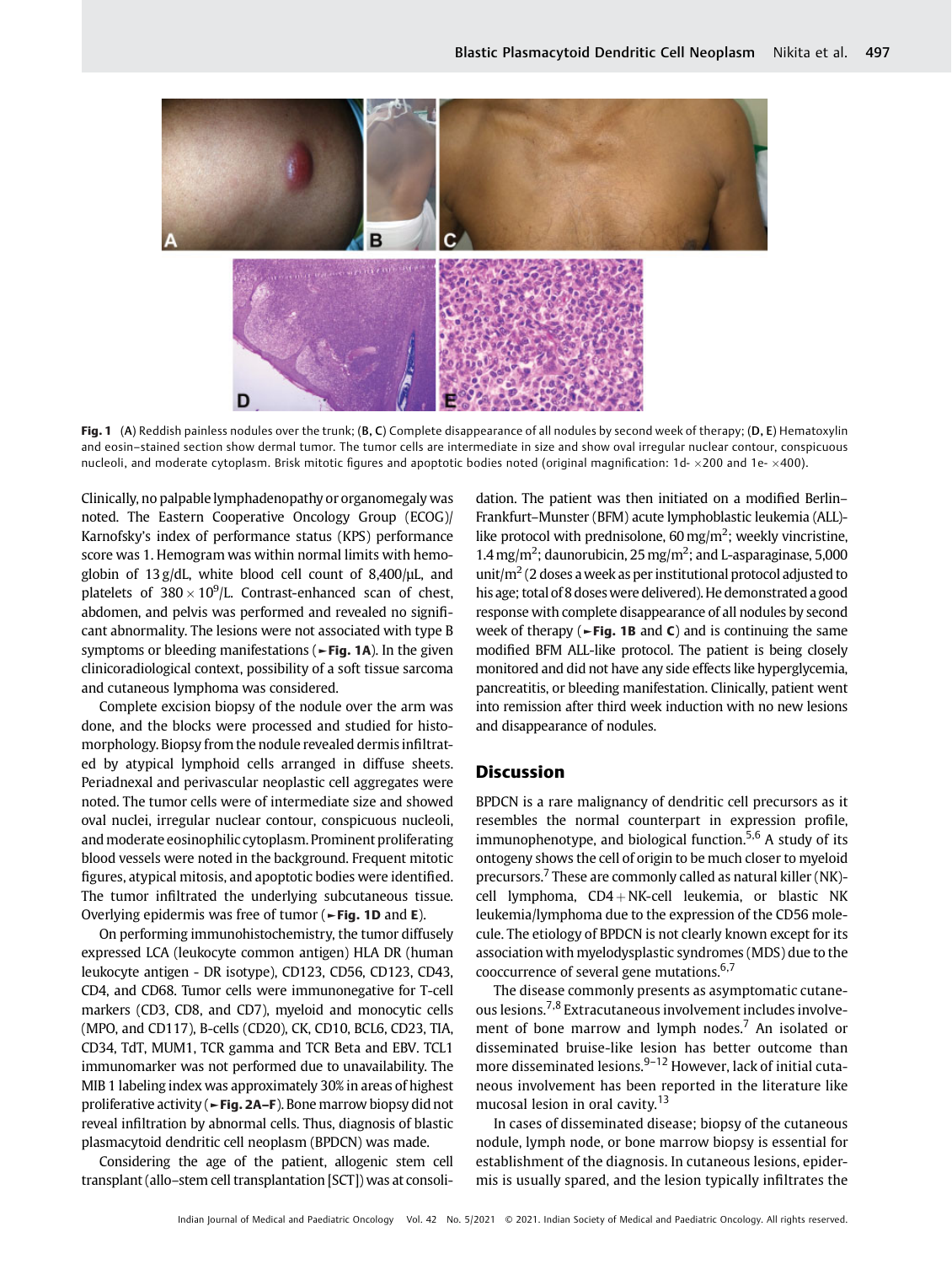

Fig. 1 (A) Reddish painless nodules over the trunk; (B, C) Complete disappearance of all nodules by second week of therapy; (D, E) Hematoxylin and eosin–stained section show dermal tumor. The tumor cells are intermediate in size and show oval irregular nuclear contour, conspicuous nucleoli, and moderate cytoplasm. Brisk mitotic figures and apoptotic bodies noted (original magnification:  $1d - \times 200$  and  $1e - \times 400$ ).

Clinically, no palpablelymphadenopathy or organomegaly was noted. The Eastern Cooperative Oncology Group (ECOG)/ Karnofsky's index of performance status (KPS) performance score was 1. Hemogram was within normal limits with hemoglobin of 13 g/dL, white blood cell count of 8,400/µL, and platelets of  $380 \times 10^9$ /L. Contrast-enhanced scan of chest, abdomen, and pelvis was performed and revealed no significant abnormality. The lesions were not associated with type B symptoms or bleeding manifestations (►Fig. 1A). In the given clinicoradiological context, possibility of a soft tissue sarcoma and cutaneous lymphoma was considered.

Complete excision biopsy of the nodule over the arm was done, and the blocks were processed and studied for histomorphology. Biopsy from the nodule revealed dermis infiltrated by atypical lymphoid cells arranged in diffuse sheets. Periadnexal and perivascular neoplastic cell aggregates were noted. The tumor cells were of intermediate size and showed oval nuclei, irregular nuclear contour, conspicuous nucleoli, and moderate eosinophilic cytoplasm. Prominent proliferating blood vessels were noted in the background. Frequent mitotic figures, atypical mitosis, and apoptotic bodies were identified. The tumor infiltrated the underlying subcutaneous tissue. Overlying epidermis was free of tumor ( $\blacktriangleright$  Fig. 1D and E).

On performing immunohistochemistry, the tumor diffusely expressed LCA (leukocyte common antigen) HLA DR (human leukocyte antigen - DR isotype), CD123, CD56, CD123, CD43, CD4, and CD68. Tumor cells were immunonegative for T-cell markers (CD3, CD8, and CD7), myeloid and monocytic cells (MPO, and CD117), B-cells (CD20), CK, CD10, BCL6, CD23, TIA, CD34, TdT, MUM1, TCR gamma and TCR Beta and EBV. TCL1 immunomarker was not performed due to unavailability. The MIB 1 labeling index was approximately 30% in areas of highest proliferative activity (►Fig. 2A–F). Bone marrow biopsy did not reveal infiltration by abnormal cells. Thus, diagnosis of blastic plasmacytoid dendritic cell neoplasm (BPDCN) was made.

Considering the age of the patient, allogenic stem cell transplant (allo–stem cell transplantation [SCT]) was at consolidation. The patient was then initiated on a modified Berlin– Frankfurt–Munster (BFM) acute lymphoblastic leukemia (ALL) like protocol with prednisolone, 60 mg/m<sup>2</sup>; weekly vincristine, 1.4 mg/m<sup>2</sup>; daunorubicin, 25 mg/m<sup>2</sup>; and L-asparaginase, 5,000 unit/ $m<sup>2</sup>$  (2 doses a week as per institutional protocol adjusted to his age; total of 8 doses were delivered). He demonstrated a good response with complete disappearance of all nodules by second week of therapy ( $\blacktriangleright$ Fig. 1B and C) and is continuing the same modified BFM ALL-like protocol. The patient is being closely monitored and did not have any side effects like hyperglycemia, pancreatitis, or bleeding manifestation. Clinically, patient went into remission after third week induction with no new lesions and disappearance of nodules.

# Discussion

BPDCN is a rare malignancy of dendritic cell precursors as it resembles the normal counterpart in expression profile, immunophenotype, and biological function.<sup>5,6</sup> A study of its ontogeny shows the cell of origin to be much closer to myeloid precursors.<sup>7</sup> These are commonly called as natural killer (NK)cell lymphoma,  $CD4 + NK$ -cell leukemia, or blastic NK leukemia/lymphoma due to the expression of the CD56 molecule. The etiology of BPDCN is not clearly known except for its association with myelodysplastic syndromes (MDS) due to the cooccurrence of several gene mutations.<sup>6,7</sup>

The disease commonly presents as asymptomatic cutaneous lesions.7,8 Extracutaneous involvement includes involvement of bone marrow and lymph nodes.<sup>7</sup> An isolated or disseminated bruise-like lesion has better outcome than more disseminated lesions. $9-12$  However, lack of initial cutaneous involvement has been reported in the literature like mucosal lesion in oral cavity.<sup>13</sup>

In cases of disseminated disease; biopsy of the cutaneous nodule, lymph node, or bone marrow biopsy is essential for establishment of the diagnosis. In cutaneous lesions, epidermis is usually spared, and the lesion typically infiltrates the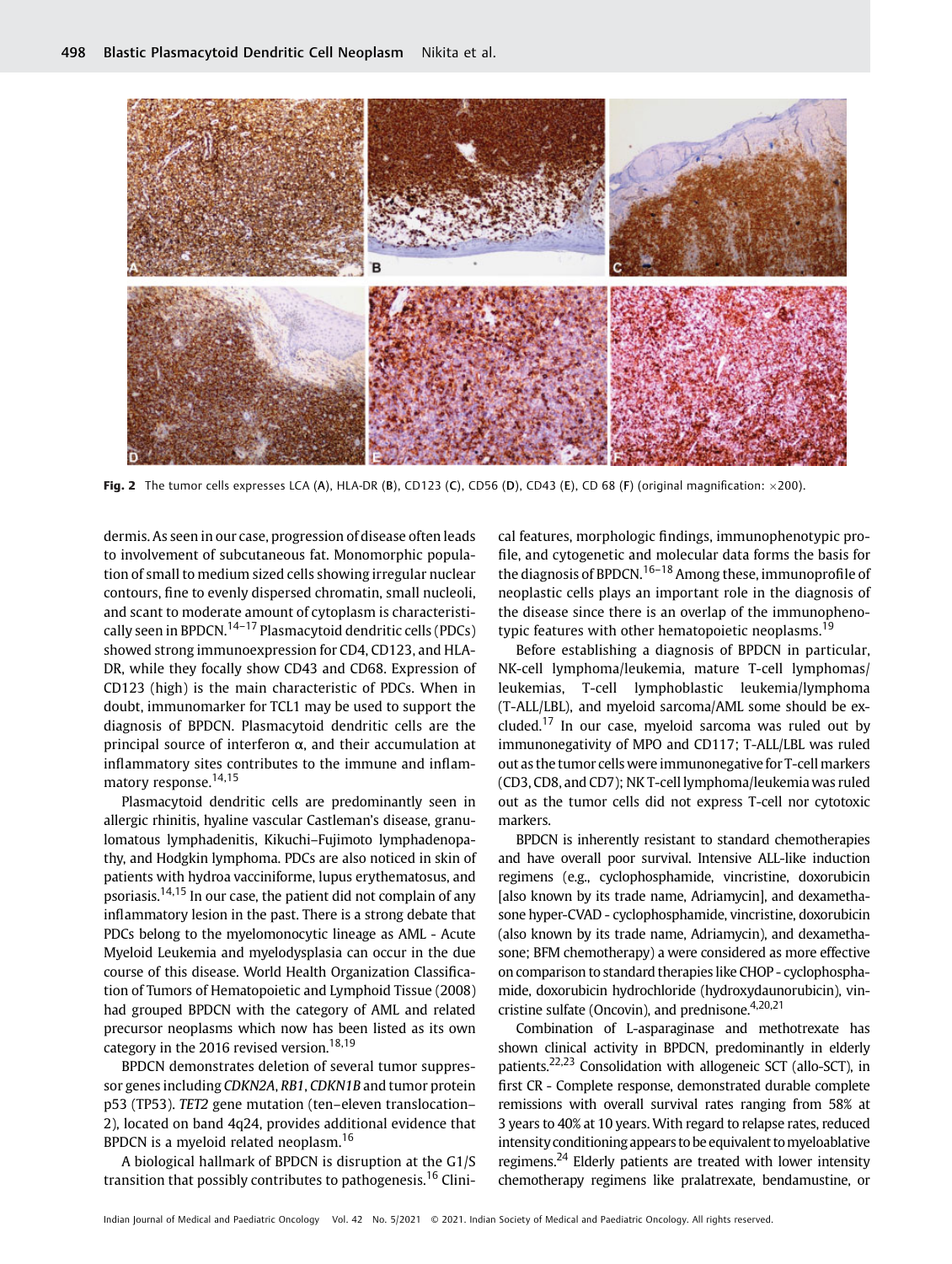

Fig. 2 The tumor cells expresses LCA (A), HLA-DR (B), CD123 (C), CD56 (D), CD43 (E), CD 68 (F) (original magnification:  $\times$ 200).

dermis. As seen in our case, progression of disease often leads to involvement of subcutaneous fat. Monomorphic population of small to medium sized cells showing irregular nuclear contours, fine to evenly dispersed chromatin, small nucleoli, and scant to moderate amount of cytoplasm is characteristically seen in BPDCN.14–<sup>17</sup> Plasmacytoid dendritic cells (PDCs) showed strong immunoexpression for CD4, CD123, and HLA-DR, while they focally show CD43 and CD68. Expression of CD123 (high) is the main characteristic of PDCs. When in doubt, immunomarker for TCL1 may be used to support the diagnosis of BPDCN. Plasmacytoid dendritic cells are the principal source of interferon α, and their accumulation at inflammatory sites contributes to the immune and inflammatory response.14,15

Plasmacytoid dendritic cells are predominantly seen in allergic rhinitis, hyaline vascular Castleman's disease, granulomatous lymphadenitis, Kikuchi–Fujimoto lymphadenopathy, and Hodgkin lymphoma. PDCs are also noticed in skin of patients with hydroa vacciniforme, lupus erythematosus, and psoriasis.14,15 In our case, the patient did not complain of any inflammatory lesion in the past. There is a strong debate that PDCs belong to the myelomonocytic lineage as AML - Acute Myeloid Leukemia and myelodysplasia can occur in the due course of this disease. World Health Organization Classification of Tumors of Hematopoietic and Lymphoid Tissue (2008) had grouped BPDCN with the category of AML and related precursor neoplasms which now has been listed as its own category in the 2016 revised version.<sup>18,19</sup>

BPDCN demonstrates deletion of several tumor suppressor genes including CDKN2A, RB1, CDKN1B and tumor protein p53 (TP53). TET2 gene mutation (ten–eleven translocation– 2), located on band 4q24, provides additional evidence that BPDCN is a myeloid related neoplasm.<sup>16</sup>

A biological hallmark of BPDCN is disruption at the G1/S transition that possibly contributes to pathogenesis.<sup>16</sup> Clinical features, morphologic findings, immunophenotypic profile, and cytogenetic and molecular data forms the basis for the diagnosis of BPDCN.<sup>16-18</sup> Among these, immunoprofile of neoplastic cells plays an important role in the diagnosis of the disease since there is an overlap of the immunophenotypic features with other hematopoietic neoplasms.<sup>19</sup>

Before establishing a diagnosis of BPDCN in particular, NK-cell lymphoma/leukemia, mature T-cell lymphomas/ leukemias, T-cell lymphoblastic leukemia/lymphoma (T-ALL/LBL), and myeloid sarcoma/AML some should be excluded.<sup>17</sup> In our case, myeloid sarcoma was ruled out by immunonegativity of MPO and CD117; T-ALL/LBL was ruled out as the tumor cells were immunonegative for T-cell markers (CD3, CD8, and CD7); NK T-cell lymphoma/leukemia was ruled out as the tumor cells did not express T-cell nor cytotoxic markers.

BPDCN is inherently resistant to standard chemotherapies and have overall poor survival. Intensive ALL-like induction regimens (e.g., cyclophosphamide, vincristine, doxorubicin [also known by its trade name, Adriamycin], and dexamethasone hyper-CVAD - cyclophosphamide, vincristine, doxorubicin (also known by its trade name, Adriamycin), and dexamethasone; BFM chemotherapy) a were considered as more effective on comparison to standard therapies like CHOP - cyclophosphamide, doxorubicin hydrochloride (hydroxydaunorubicin), vincristine sulfate (Oncovin), and prednisone. $4,20,21$ 

Combination of L-asparaginase and methotrexate has shown clinical activity in BPDCN, predominantly in elderly patients.22,23 Consolidation with allogeneic SCT (allo-SCT), in first CR - Complete response, demonstrated durable complete remissions with overall survival rates ranging from 58% at 3 years to 40% at 10 years. With regard to relapse rates, reduced intensityconditioning appears to be equivalent tomyeloablative regimens.<sup>24</sup> Elderly patients are treated with lower intensity chemotherapy regimens like pralatrexate, bendamustine, or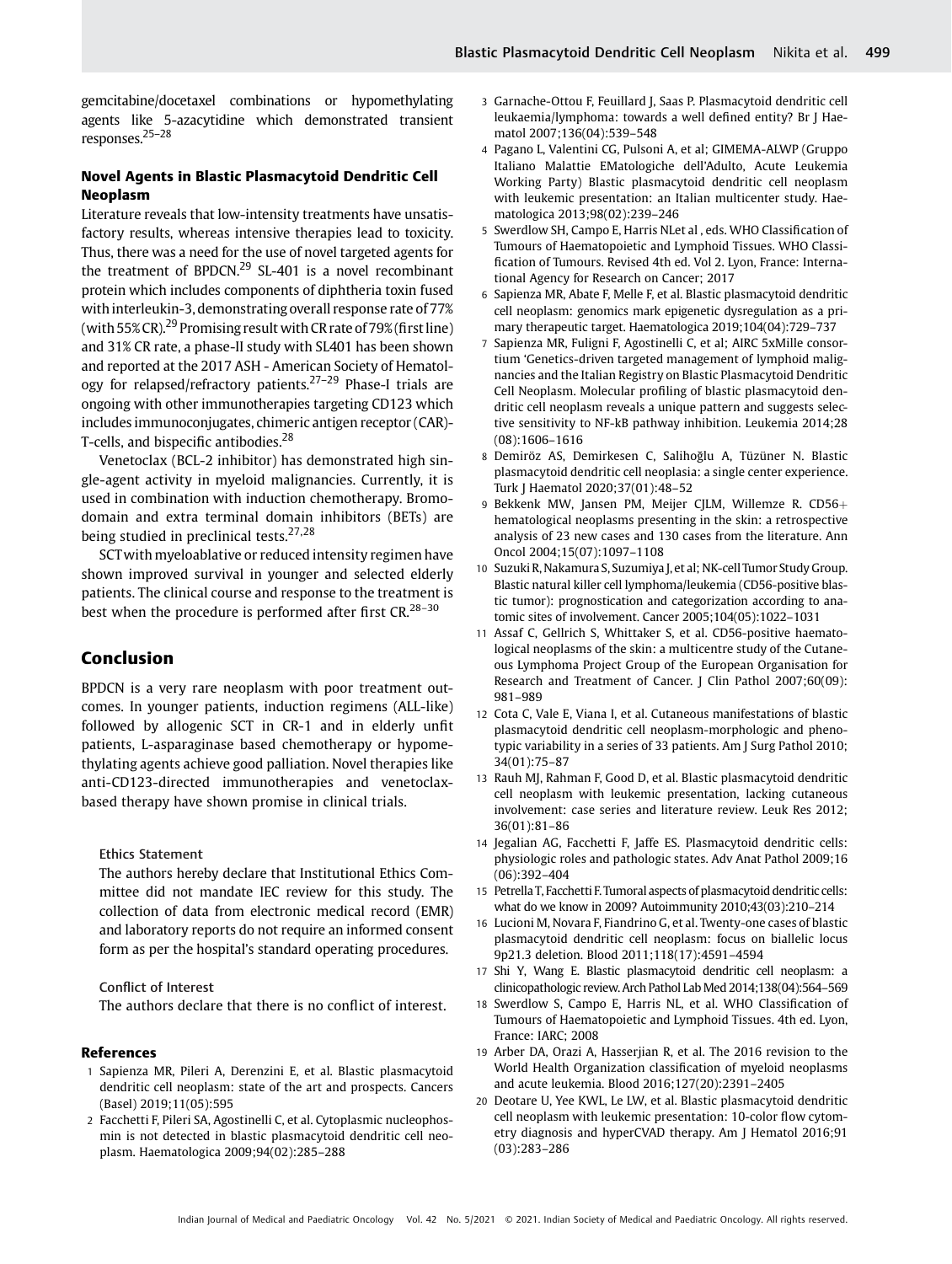gemcitabine/docetaxel combinations or hypomethylating agents like 5-azacytidine which demonstrated transient responses.25–<sup>28</sup>

# Novel Agents in Blastic Plasmacytoid Dendritic Cell Neoplasm

Literature reveals that low-intensity treatments have unsatisfactory results, whereas intensive therapies lead to toxicity. Thus, there was a need for the use of novel targeted agents for the treatment of BPDCN.<sup>29</sup> SL-401 is a novel recombinant protein which includes components of diphtheria toxin fused with interleukin-3, demonstrating overall response rate of 77% (with 55% CR).<sup>29</sup> Promising result with CR rate of 79% (first line) and 31% CR rate, a phase-II study with SL401 has been shown and reported at the 2017 ASH - American Society of Hematology for relapsed/refractory patients.27–<sup>29</sup> Phase-I trials are ongoing with other immunotherapies targeting CD123 which includes immunoconjugates, chimeric antigen receptor (CAR)- T-cells, and bispecific antibodies.<sup>28</sup>

Venetoclax (BCL-2 inhibitor) has demonstrated high single-agent activity in myeloid malignancies. Currently, it is used in combination with induction chemotherapy. Bromodomain and extra terminal domain inhibitors (BETs) are being studied in preclinical tests.<sup>27,28</sup>

SCTwith myeloablative or reduced intensity regimen have shown improved survival in younger and selected elderly patients. The clinical course and response to the treatment is best when the procedure is performed after first  $CR^{28-30}$ 

# Conclusion

BPDCN is a very rare neoplasm with poor treatment outcomes. In younger patients, induction regimens (ALL-like) followed by allogenic SCT in CR-1 and in elderly unfit patients, L-asparaginase based chemotherapy or hypomethylating agents achieve good palliation. Novel therapies like anti-CD123-directed immunotherapies and venetoclaxbased therapy have shown promise in clinical trials.

Ethics Statement

The authors hereby declare that Institutional Ethics Committee did not mandate IEC review for this study. The collection of data from electronic medical record (EMR) and laboratory reports do not require an informed consent form as per the hospital's standard operating procedures.

#### Conflict of Interest

The authors declare that there is no conflict of interest.

#### References

- 1 Sapienza MR, Pileri A, Derenzini E, et al. Blastic plasmacytoid dendritic cell neoplasm: state of the art and prospects. Cancers (Basel) 2019;11(05):595
- 2 Facchetti F, Pileri SA, Agostinelli C, et al. Cytoplasmic nucleophosmin is not detected in blastic plasmacytoid dendritic cell neoplasm. Haematologica 2009;94(02):285–288
- 3 Garnache-Ottou F, Feuillard J, Saas P. Plasmacytoid dendritic cell leukaemia/lymphoma: towards a well defined entity? Br J Haematol 2007;136(04):539–548
- 4 Pagano L, Valentini CG, Pulsoni A, et al; GIMEMA-ALWP (Gruppo Italiano Malattie EMatologiche dell'Adulto, Acute Leukemia Working Party) Blastic plasmacytoid dendritic cell neoplasm with leukemic presentation: an Italian multicenter study. Haematologica 2013;98(02):239–246
- 5 Swerdlow SH, Campo E, Harris NLet al , eds. WHO Classification of Tumours of Haematopoietic and Lymphoid Tissues. WHO Classification of Tumours. Revised 4th ed. Vol 2. Lyon, France: International Agency for Research on Cancer; 2017
- 6 Sapienza MR, Abate F, Melle F, et al. Blastic plasmacytoid dendritic cell neoplasm: genomics mark epigenetic dysregulation as a primary therapeutic target. Haematologica 2019;104(04):729–737
- 7 Sapienza MR, Fuligni F, Agostinelli C, et al; AIRC 5xMille consortium 'Genetics-driven targeted management of lymphoid malignancies and the Italian Registry on Blastic Plasmacytoid Dendritic Cell Neoplasm. Molecular profiling of blastic plasmacytoid dendritic cell neoplasm reveals a unique pattern and suggests selective sensitivity to NF-kB pathway inhibition. Leukemia 2014;28 (08):1606–1616
- 8 Demiröz AS, Demirkesen C, Salihoğlu A, Tüzüner N. Blastic plasmacytoid dendritic cell neoplasia: a single center experience. Turk J Haematol 2020;37(01):48–52
- 9 Bekkenk MW, Jansen PM, Meijer CJLM, Willemze R. CD56+ hematological neoplasms presenting in the skin: a retrospective analysis of 23 new cases and 130 cases from the literature. Ann Oncol 2004;15(07):1097–1108
- 10 Suzuki R, Nakamura S, Suzumiya J, et al; NK-cell Tumor Study Group. Blastic natural killer cell lymphoma/leukemia (CD56-positive blastic tumor): prognostication and categorization according to anatomic sites of involvement. Cancer 2005;104(05):1022–1031
- 11 Assaf C, Gellrich S, Whittaker S, et al. CD56-positive haematological neoplasms of the skin: a multicentre study of the Cutaneous Lymphoma Project Group of the European Organisation for Research and Treatment of Cancer. J Clin Pathol 2007;60(09): 981–989
- 12 Cota C, Vale E, Viana I, et al. Cutaneous manifestations of blastic plasmacytoid dendritic cell neoplasm-morphologic and phenotypic variability in a series of 33 patients. Am J Surg Pathol 2010; 34(01):75–87
- 13 Rauh MJ, Rahman F, Good D, et al. Blastic plasmacytoid dendritic cell neoplasm with leukemic presentation, lacking cutaneous involvement: case series and literature review. Leuk Res 2012; 36(01):81–86
- 14 Jegalian AG, Facchetti F, Jaffe ES. Plasmacytoid dendritic cells: physiologic roles and pathologic states. Adv Anat Pathol 2009;16 (06):392–404
- 15 Petrella T, Facchetti F. Tumoral aspects of plasmacytoid dendritic cells: what do we know in 2009? Autoimmunity 2010;43(03):210–214
- 16 Lucioni M, Novara F, Fiandrino G, et al. Twenty-one cases of blastic plasmacytoid dendritic cell neoplasm: focus on biallelic locus 9p21.3 deletion. Blood 2011;118(17):4591–4594
- 17 Shi Y, Wang E. Blastic plasmacytoid dendritic cell neoplasm: a clinicopathologic review. Arch Pathol Lab Med 2014;138(04):564–569
- 18 Swerdlow S, Campo E, Harris NL, et al. WHO Classification of Tumours of Haematopoietic and Lymphoid Tissues. 4th ed. Lyon, France: IARC; 2008
- 19 Arber DA, Orazi A, Hasserjian R, et al. The 2016 revision to the World Health Organization classification of myeloid neoplasms and acute leukemia. Blood 2016;127(20):2391–2405
- 20 Deotare U, Yee KWL, Le LW, et al. Blastic plasmacytoid dendritic cell neoplasm with leukemic presentation: 10-color flow cytometry diagnosis and hyperCVAD therapy. Am J Hematol 2016;91 (03):283–286